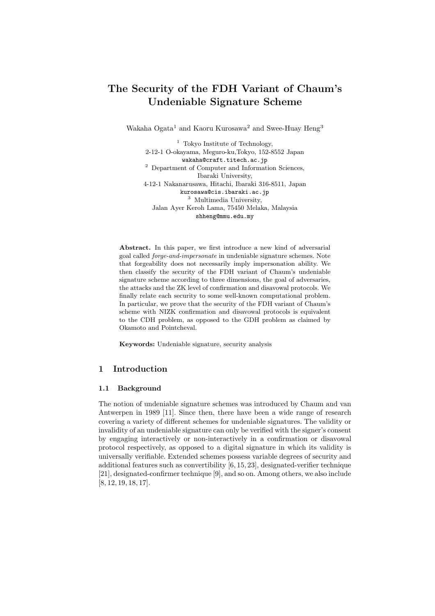# The Security of the FDH Variant of Chaum's Undeniable Signature Scheme

Wakaha $\rm Ogata^{1}$  and Kaoru Kurosawa<sup>2</sup> and Swee-Huay  $\rm Heng^{3}$ 

<sup>1</sup> Tokyo Institute of Technology, 2-12-1 O-okayama, Meguro-ku,Tokyo, 152-8552 Japan wakaha@craft.titech.ac.jp <sup>2</sup> Department of Computer and Information Sciences, Ibaraki University, 4-12-1 Nakanarusawa, Hitachi, Ibaraki 316-8511, Japan kurosawa@cis.ibaraki.ac.jp <sup>3</sup> Multimedia University, Jalan Ayer Keroh Lama, 75450 Melaka, Malaysia shheng@mmu.edu.my

Abstract. In this paper, we first introduce a new kind of adversarial goal called forge-and-impersonate in undeniable signature schemes. Note that forgeability does not necessarily imply impersonation ability. We then classify the security of the FDH variant of Chaum's undeniable signature scheme according to three dimensions, the goal of adversaries, the attacks and the ZK level of confirmation and disavowal protocols. We finally relate each security to some well-known computational problem. In particular, we prove that the security of the FDH variant of Chaum's scheme with NIZK confirmation and disavowal protocols is equivalent to the CDH problem, as opposed to the GDH problem as claimed by Okamoto and Pointcheval.

Keywords: Undeniable signature, security analysis

# 1 Introduction

# 1.1 Background

The notion of undeniable signature schemes was introduced by Chaum and van Antwerpen in 1989 [11]. Since then, there have been a wide range of research covering a variety of different schemes for undeniable signatures. The validity or invalidity of an undeniable signature can only be verified with the signer's consent by engaging interactively or non-interactively in a confirmation or disavowal protocol respectively, as opposed to a digital signature in which its validity is universally verifiable. Extended schemes possess variable degrees of security and additional features such as convertibility [6, 15, 23], designated-verifier technique [21], designated-confirmertechnique [9], and so on. Among others, we also include [8, 12, 19, 18, 17].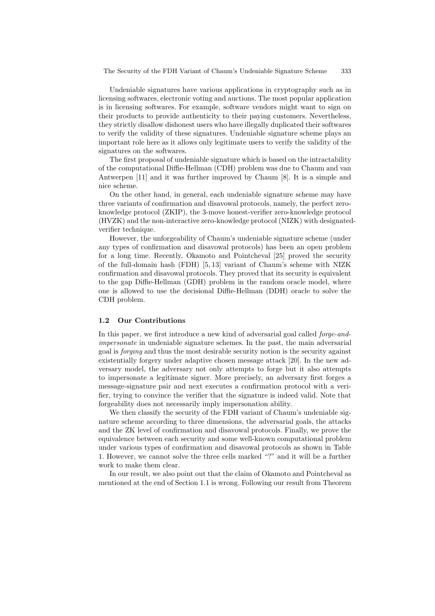Undeniable signatures have various applications in cryptography such as in licensing softwares, electronic voting and auctions. The most popular application is in licensing softwares. For example, software vendors might want to sign on their products to provide authenticity to their paying customers. Nevertheless, they strictly disallow dishonest users who have illegally duplicated their softwares to verify the validity of these signatures. Undeniable signature scheme plays an important role here as it allows only legitimate users to verify the validity of the signatures on the softwares.

The first proposal of undeniable signature which is based on the intractability of the computational Diffie-Hellman (CDH) problem was due to Chaum and van Antwerpen [11] and it was further improved by Chaum [8]. It is a simple and nice scheme.

On the other hand, in general, each undeniable signature scheme may have three variants of confirmation and disavowal protocols, namely, the perfect zeroknowledge protocol (ZKIP), the 3-move honest-verifier zero-knowledge protocol (HVZK) and the non-interactive zero-knowledge protocol (NIZK) with designatedverifier technique.

However, the unforgeability of Chaum's undeniable signature scheme (under any types of confirmation and disavowal protocols) has been an open problem for a long time. Recently, Okamoto and Pointcheval [25] proved the security of the full-domain hash (FDH) [5, 13] variant of Chaum's scheme with NIZK confirmation and disavowal protocols. They proved that its security is equivalent to the gap Diffie-Hellman (GDH) problem in the random oracle model, where one is allowed to use the decisional Diffie-Hellman (DDH) oracle to solve the CDH problem.

# 1.2 Our Contributions

In this paper, we first introduce a new kind of adversarial goal called forge-andimpersonate in undeniable signature schemes. In the past, the main adversarial goal is forging and thus the most desirable security notion is the security against existentially forgery under adaptive chosen message attack [20]. In the new adversary model, the adversary not only attempts to forge but it also attempts to impersonate a legitimate signer. More precisely, an adversary first forges a message-signature pair and next executes a confirmation protocol with a verifier, trying to convince the verifier that the signature is indeed valid. Note that forgeability does not necessarily imply impersonation ability.

We then classify the security of the FDH variant of Chaum's undeniable signature scheme according to three dimensions, the adversarial goals, the attacks and the ZK level of confirmation and disavowal protocols. Finally, we prove the equivalence between each security and some well-known computational problem under various types of confirmation and disavowal protocols as shown in Table 1. However, we cannot solve the three cells marked "?" and it will be a further work to make them clear.

In our result, we also point out that the claim of Okamoto and Pointcheval as mentioned at the end of Section 1.1 is wrong. Following our result from Theorem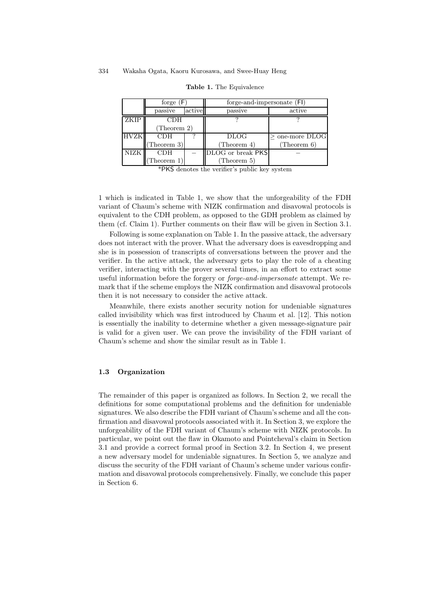|             | forge $(F)$ |        | forge-and-impersonate (FI) |                     |
|-------------|-------------|--------|----------------------------|---------------------|
|             | passive     | active | passive                    | active              |
| <b>ZKIP</b> | CDH         |        |                            |                     |
|             | (Theorem 2) |        |                            |                     |
| <b>HVZK</b> | <b>CDH</b>  |        | <b>DLOG</b>                | $\ge$ one-more DLOG |
|             | Theorem 3)  |        | (Theorem 4)                | (Theorem $6$ )      |
| NIZK        | <b>CDH</b>  |        | DLOG or break PKS          |                     |
|             | Theorem 1)  |        | (Theorem 5)                |                     |

Table 1. The Equivalence

\*PKS denotes the verifier's public key system

1 which is indicated in Table 1, we show that the unforgeability of the FDH variant of Chaum's scheme with NIZK confirmation and disavowal protocols is equivalent to the CDH problem, as opposed to the GDH problem as claimed by them (cf. Claim 1). Further comments on their flaw will be given in Section 3.1.

Following is some explanation on Table 1. In the passive attack, the adversary does not interact with the prover. What the adversary does is eavesdropping and she is in possession of transcripts of conversations between the prover and the verifier. In the active attack, the adversary gets to play the role of a cheating verifier, interacting with the prover several times, in an effort to extract some useful information before the forgery or forge-and-impersonate attempt. We remark that if the scheme employs the NIZK confirmation and disavowal protocols then it is not necessary to consider the active attack.

Meanwhile, there exists another security notion for undeniable signatures called invisibility which was first introduced by Chaum et al. [12]. This notion is essentially the inability to determine whether a given message-signature pair is valid for a given user. We can prove the invisibility of the FDH variant of Chaum's scheme and show the similar result as in Table 1.

## 1.3 Organization

The remainder of this paper is organized as follows. In Section 2, we recall the definitions for some computational problems and the definition for undeniable signatures. We also describe the FDH variant of Chaum's scheme and all the confirmation and disavowal protocols associated with it. In Section 3, we explore the unforgeability of the FDH variant of Chaum's scheme with NIZK protocols. In particular, we point out the flaw in Okamoto and Pointcheval's claim in Section 3.1 and provide a correct formal proof in Section 3.2. In Section 4, we present a new adversary model for undeniable signatures. In Section 5, we analyze and discuss the security of the FDH variant of Chaum's scheme under various confirmation and disavowal protocols comprehensively. Finally, we conclude this paper in Section 6.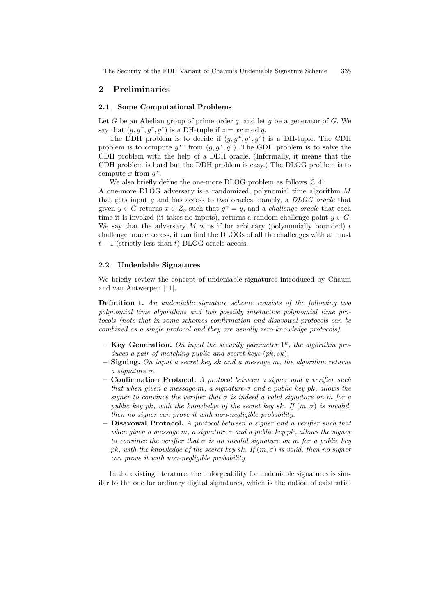The Security of the FDH Variant of Chaum's Undeniable Signature Scheme 335

# 2 Preliminaries

#### 2.1 Some Computational Problems

Let G be an Abelian group of prime order q, and let q be a generator of G. We say that  $(g, g^x, g^r, g^z)$  is a DH-tuple if  $z = xr \mod q$ .

The DDH problem is to decide if  $(g, g^x, g^r, g^z)$  is a DH-tuple. The CDH problem is to compute  $g^{xr}$  from  $(g, g^x, g^r)$ . The GDH problem is to solve the CDH problem with the help of a DDH oracle. (Informally, it means that the CDH problem is hard but the DDH problem is easy.) The DLOG problem is to compute x from  $g^x$ .

We also briefly define the one-more DLOG problem as follows [3, 4]:

A one-more DLOG adversary is a randomized, polynomial time algorithm M that gets input  $g$  and has access to two oracles, namely, a  $DLOG$  oracle that given  $y \in G$  returns  $x \in Z_q$  such that  $g^x = y$ , and a *challenge oracle* that each time it is invoked (it takes no inputs), returns a random challenge point  $y \in G$ . We say that the adversary  $M$  wins if for arbitrary (polynomially bounded)  $t$ challenge oracle access, it can find the DLOGs of all the challenges with at most  $t-1$  (strictly less than t) DLOG oracle access.

### 2.2 Undeniable Signatures

We briefly review the concept of undeniable signatures introduced by Chaum and van Antwerpen [11].

Definition 1. An undeniable signature scheme consists of the following two polynomial time algorithms and two possibly interactive polynomial time protocols (note that in some schemes confirmation and disavowal protocols can be combined as a single protocol and they are usually zero-knowledge protocols).

- Key Generation. On input the security parameter  $1^k$ , the algorithm produces a pair of matching public and secret keys  $(pk, sk)$ .
- **Signing.** On input a secret key sk and a message m, the algorithm returns a signature  $\sigma$ .
- Confirmation Protocol. A protocol between a signer and a verifier such that when given a message m, a signature  $\sigma$  and a public key pk, allows the signer to convince the verifier that  $\sigma$  is indeed a valid signature on m for a public key pk, with the knowledge of the secret key sk. If  $(m, \sigma)$  is invalid, then no signer can prove it with non-negligible probability.
- $-$  Disavowal Protocol. A protocol between a signer and a verifier such that when given a message m, a signature  $\sigma$  and a public key pk, allows the signer to convince the verifier that  $\sigma$  is an invalid signature on m for a public key pk, with the knowledge of the secret key sk. If  $(m, \sigma)$  is valid, then no signer can prove it with non-negligible probability.

In the existing literature, the unforgeability for undeniable signatures is similar to the one for ordinary digital signatures, which is the notion of existential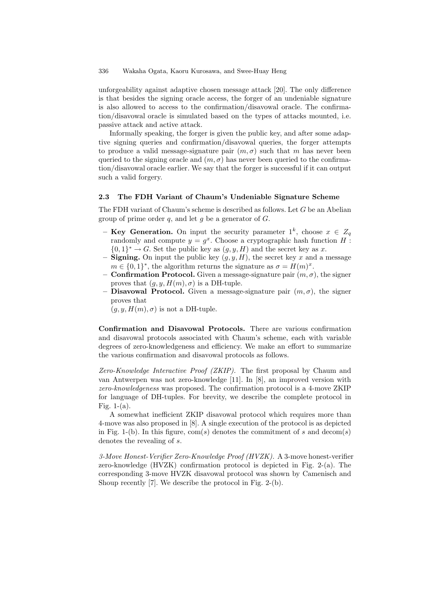unforgeability against adaptive chosen message attack [20]. The only difference is that besides the signing oracle access, the forger of an undeniable signature is also allowed to access to the confirmation/disavowal oracle. The confirmation/disavowal oracle is simulated based on the types of attacks mounted, i.e. passive attack and active attack.

Informally speaking, the forger is given the public key, and after some adaptive signing queries and confirmation/disavowal queries, the forger attempts to produce a valid message-signature pair  $(m, \sigma)$  such that m has never been queried to the signing oracle and  $(m, \sigma)$  has never been queried to the confirmation/disavowal oracle earlier. We say that the forger is successful if it can output such a valid forgery.

### 2.3 The FDH Variant of Chaum's Undeniable Signature Scheme

The FDH variant of Chaum's scheme is described as follows. Let G be an Abelian group of prime order  $q$ , and let  $q$  be a generator of  $G$ .

- Key Generation. On input the security parameter  $1^k$ , choose  $x \in Z_q$ randomly and compute  $y = g^x$ . Choose a cryptographic hash function H:  $\{0,1\}^* \to G$ . Set the public key as  $(g, y, H)$  and the secret key as x.
- **Signing.** On input the public key  $(g, y, H)$ , the secret key x and a message  $m \in \{0,1\}^*$ , the algorithm returns the signature as  $\sigma = H(m)^x$ .
- **Confirmation Protocol.** Given a message-signature pair  $(m, \sigma)$ , the signer proves that  $(g, y, H(m), \sigma)$  is a DH-tuple.
- Disavowal Protocol. Given a message-signature pair  $(m, \sigma)$ , the signer proves that
	- $(g, y, H(m), \sigma)$  is not a DH-tuple.

Confirmation and Disavowal Protocols. There are various confirmation and disavowal protocols associated with Chaum's scheme, each with variable degrees of zero-knowledgeness and efficiency. We make an effort to summarize the various confirmation and disavowal protocols as follows.

Zero-Knowledge Interactive Proof (ZKIP). The first proposal by Chaum and van Antwerpen was not zero-knowledge [11]. In [8], an improved version with zero-knowledgeness was proposed. The confirmation protocol is a 4-move ZKIP for language of DH-tuples. For brevity, we describe the complete protocol in Fig. 1- $(a)$ .

A somewhat inefficient ZKIP disavowal protocol which requires more than 4-move was also proposed in [8]. A single execution of the protocol is as depicted in Fig. 1-(b). In this figure,  $com(s)$  denotes the commitment of s and decom(s) denotes the revealing of s.

3-Move Honest-Verifier Zero-Knowledge Proof (HVZK). A 3-move honest-verifier zero-knowledge (HVZK) confirmation protocol is depicted in Fig. 2-(a). The corresponding 3-move HVZK disavowal protocol was shown by Camenisch and Shoup recently [7]. We describe the protocol in Fig. 2-(b).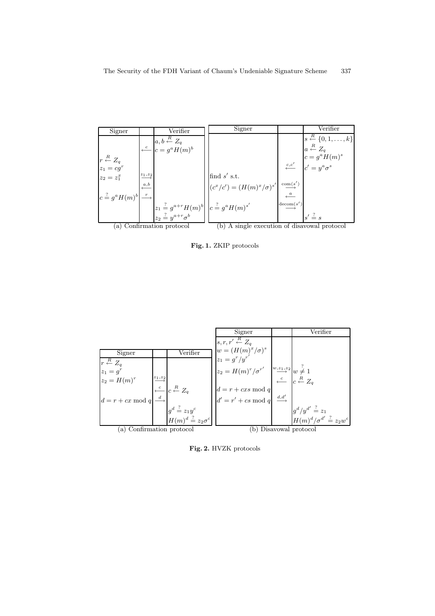

Fig. 1. ZKIP protocols



Fig. 2. HVZK protocols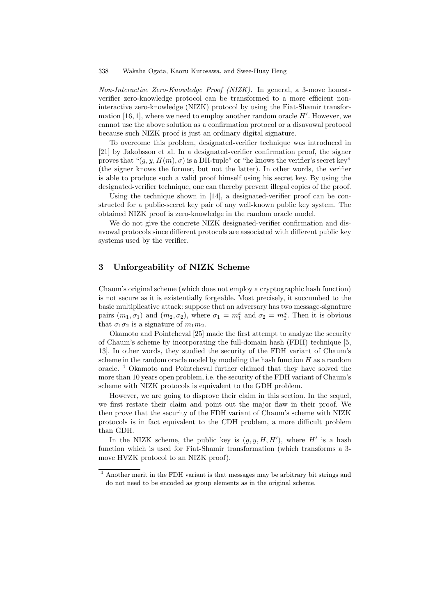Non-Interactive Zero-Knowledge Proof (NIZK). In general, a 3-move honestverifier zero-knowledge protocol can be transformed to a more efficient noninteractive zero-knowledge (NIZK) protocol by using the Fiat-Shamir transformation [16, 1], where we need to employ another random oracle  $H'$ . However, we cannot use the above solution as a confirmation protocol or a disavowal protocol because such NIZK proof is just an ordinary digital signature.

To overcome this problem, designated-verifier technique was introduced in [21] by Jakobsson et al. In a designated-verifier confirmation proof, the signer proves that " $(q, y, H(m), \sigma)$  is a DH-tuple" or "he knows the verifier's secret key" (the signer knows the former, but not the latter). In other words, the verifier is able to produce such a valid proof himself using his secret key. By using the designated-verifier technique, one can thereby prevent illegal copies of the proof.

Using the technique shown in [14], a designated-verifier proof can be constructed for a public-secret key pair of any well-known public key system. The obtained NIZK proof is zero-knowledge in the random oracle model.

We do not give the concrete NIZK designated-verifier confirmation and disavowal protocols since different protocols are associated with different public key systems used by the verifier.

# 3 Unforgeability of NIZK Scheme

Chaum's original scheme (which does not employ a cryptographic hash function) is not secure as it is existentially forgeable. Most precisely, it succumbed to the basic multiplicative attack: suppose that an adversary has two message-signature pairs  $(m_1, \sigma_1)$  and  $(m_2, \sigma_2)$ , where  $\sigma_1 = m_1^x$  and  $\sigma_2 = m_2^x$ . Then it is obvious that  $\sigma_1 \sigma_2$  is a signature of  $m_1 m_2$ .

Okamoto and Pointcheval [25] made the first attempt to analyze the security of Chaum's scheme by incorporating the full-domain hash (FDH) technique [5, 13]. In other words, they studied the security of the FDH variant of Chaum's scheme in the random oracle model by modeling the hash function  $H$  as a random oracle. <sup>4</sup> Okamoto and Pointcheval further claimed that they have solved the more than 10 years open problem, i.e. the security of the FDH variant of Chaum's scheme with NIZK protocols is equivalent to the GDH problem.

However, we are going to disprove their claim in this section. In the sequel, we first restate their claim and point out the major flaw in their proof. We then prove that the security of the FDH variant of Chaum's scheme with NIZK protocols is in fact equivalent to the CDH problem, a more difficult problem than GDH.

In the NIZK scheme, the public key is  $(g, y, H, H')$ , where  $H'$  is a hash function which is used for Fiat-Shamir transformation (which transforms a 3 move HVZK protocol to an NIZK proof).

<sup>4</sup> Another merit in the FDH variant is that messages may be arbitrary bit strings and do not need to be encoded as group elements as in the original scheme.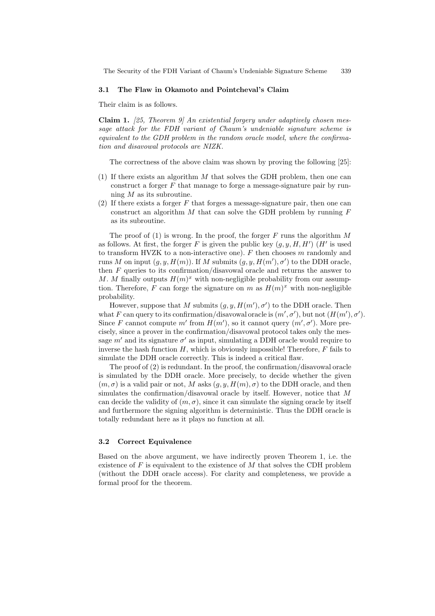#### 3.1 The Flaw in Okamoto and Pointcheval's Claim

Their claim is as follows.

Claim 1. [25, Theorem 9] An existential forgery under adaptively chosen message attack for the FDH variant of Chaum's undeniable signature scheme is equivalent to the GDH problem in the random oracle model, where the confirmation and disavowal protocols are NIZK.

The correctness of the above claim was shown by proving the following [25]:

- (1) If there exists an algorithm  $M$  that solves the GDH problem, then one can construct a forger  $F$  that manage to forge a message-signature pair by running  $M$  as its subroutine.
- (2) If there exists a forger  $F$  that forges a message-signature pair, then one can construct an algorithm  $M$  that can solve the GDH problem by running  $F$ as its subroutine.

The proof of  $(1)$  is wrong. In the proof, the forger F runs the algorithm M as follows. At first, the forger F is given the public key  $(g, y, H, H')$  (H' is used to transform HVZK to a non-interactive one).  $F$  then chooses  $m$  randomly and runs M on input  $(g, y, H(m))$ . If M submits  $(g, y, H(m'), \sigma')$  to the DDH oracle, then  $F$  queries to its confirmation/disavowal oracle and returns the answer to M. M finally outputs  $H(m)^x$  with non-negligible probability from our assumption. Therefore, F can forge the signature on m as  $H(m)^x$  with non-negligible probability.

However, suppose that M submits  $(g, y, H(m'), \sigma')$  to the DDH oracle. Then what F can query to its confirmation/disavowal oracle is  $(m', \sigma')$ , but not  $(H(m'), \sigma')$ . Since F cannot compute m' from  $H(m')$ , so it cannot query  $(m', \sigma')$ . More precisely, since a prover in the confirmation/disavowal protocol takes only the message m' and its signature  $\sigma'$  as input, simulating a DDH oracle would require to inverse the hash function  $H$ , which is obviously impossible! Therefore,  $F$  fails to simulate the DDH oracle correctly. This is indeed a critical flaw.

The proof of (2) is redundant. In the proof, the confirmation/disavowal oracle is simulated by the DDH oracle. More precisely, to decide whether the given  $(m, \sigma)$  is a valid pair or not, M asks  $(g, y, H(m), \sigma)$  to the DDH oracle, and then simulates the confirmation/disavowal oracle by itself. However, notice that  $M$ can decide the validity of  $(m, \sigma)$ , since it can simulate the signing oracle by itself and furthermore the signing algorithm is deterministic. Thus the DDH oracle is totally redundant here as it plays no function at all.

### 3.2 Correct Equivalence

Based on the above argument, we have indirectly proven Theorem 1, i.e. the existence of  $F$  is equivalent to the existence of  $M$  that solves the CDH problem (without the DDH oracle access). For clarity and completeness, we provide a formal proof for the theorem.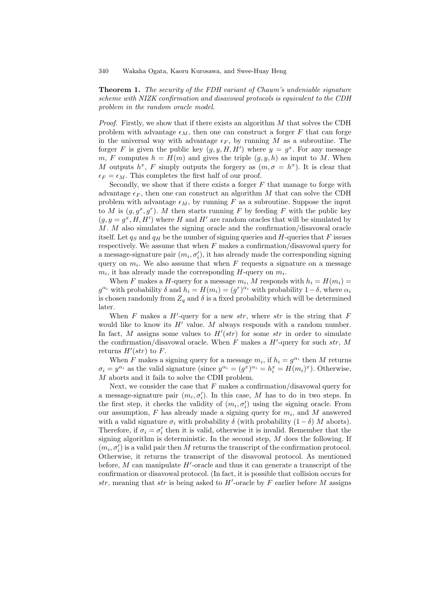Theorem 1. The security of the FDH variant of Chaum's undeniable signature scheme with NIZK confirmation and disavowal protocols is equivalent to the CDH problem in the random oracle model.

*Proof.* Firstly, we show that if there exists an algorithm  $M$  that solves the CDH problem with advantage  $\epsilon_M$ , then one can construct a forger F that can forge in the universal way with advantage  $\epsilon_F$ , by running M as a subroutine. The forger F is given the public key  $(g, y, H, H')$  where  $y = g^x$ . For any message m, F computes  $h = H(m)$  and gives the triple  $(q, y, h)$  as input to M. When M outputs  $h^x$ , F simply outputs the forgery as  $(m, \sigma = h^x)$ . It is clear that  $\epsilon_F = \epsilon_M$ . This completes the first half of our proof.

Secondly, we show that if there exists a forger  $F$  that manage to forge with advantage  $\epsilon_F$ , then one can construct an algorithm M that can solve the CDH problem with advantage  $\epsilon_M$ , by running F as a subroutine. Suppose the input to M is  $(g, g^x, g^r)$ . M then starts running F by feeding F with the public key  $(g, y = g^x, H, H')$  where H and H' are random oracles that will be simulated by M. M also simulates the signing oracle and the confirmation/disavowal oracle itself. Let  $q_S$  and  $q_H$  be the number of signing queries and H-queries that F issues respectively. We assume that when  $F$  makes a confirmation/disavowal query for a message-signature pair  $(m_i, \sigma'_i)$ , it has already made the corresponding signing query on  $m_i$ . We also assume that when  $F$  requests a signature on a message  $m_i$ , it has already made the corresponding H-query on  $m_i$ .

When F makes a H-query for a message  $m_i$ , M responds with  $h_i = H(m_i) =$  $g^{\alpha_i}$  with probability  $\delta$  and  $h_i = H(m_i) = (g^r)^{\alpha_i}$  with probability  $1-\delta$ , where  $\alpha_i$ is chosen randomly from  $Z_q$  and  $\delta$  is a fixed probability which will be determined later.

When  $F$  makes a  $H'$ -query for a new  $str$ , where  $str$  is the string that  $F$ would like to know its  $H'$  value. M always responds with a random number. In fact, M assigns some values to  $H'(str)$  for some str in order to simulate the confirmation/disavowal oracle. When  $\hat{F}$  makes a  $H'$ -query for such str, M returns  $H'(str)$  to F.

When F makes a signing query for a message  $m_i$ , if  $h_i = g^{\alpha_i}$  then M returns  $\sigma_i = y^{\alpha_i}$  as the valid signature (since  $y^{\alpha_i} = (g^x)^{\alpha_i} = h^x_i = H(m_i)^x$ ). Otherwise, M aborts and it fails to solve the CDH problem.

Next, we consider the case that  $F$  makes a confirmation/disavowal query for a message-signature pair  $(m_i, \sigma'_i)$ . In this case, M has to do in two steps. In the first step, it checks the validity of  $(m_i, \sigma'_i)$  using the signing oracle. From our assumption,  $F$  has already made a signing query for  $m_i$ , and  $M$  answered with a valid signature  $\sigma_i$  with probability  $\delta$  (with probability  $(1 - \delta)$ ) M aborts). Therefore, if  $\sigma_i = \sigma'_i$  then it is valid, otherwise it is invalid. Remember that the signing algorithm is deterministic. In the second step,  $M$  does the following. If  $(m_i, \sigma'_i)$  is a valid pair then M returns the transcript of the confirmation protocol. Otherwise, it returns the transcript of the disavowal protocol. As mentioned before,  $M$  can manipulate  $H'$ -oracle and thus it can generate a transcript of the confirmation or disavowal protocol. (In fact, it is possible that collision occurs for str, meaning that str is being asked to  $H'$ -oracle by F earlier before M assigns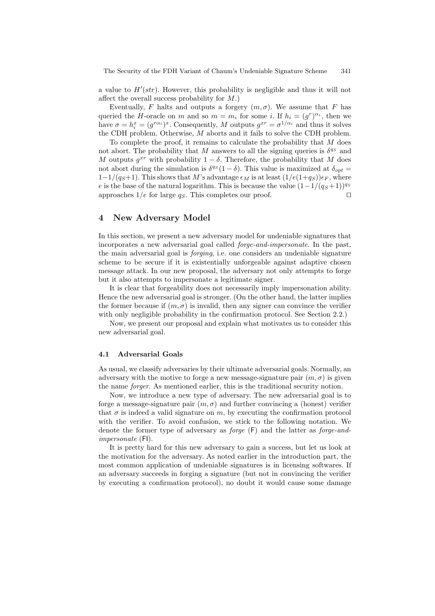a value to  $H'(str)$ . However, this probability is negligible and thus it will not affect the overall success probability for  $M$ .)

Eventually, F halts and outputs a forgery  $(m, \sigma)$ . We assume that F has queried the *H*-oracle on *m* and so  $m = m_i$  for some *i*. If  $h_i = (g^r)^{\alpha_i}$ , then we have  $\sigma = h_i^x = (g^{r\alpha_i})^x$ . Consequently, M outputs  $g^{xr} = \sigma^{1/\alpha_i}$  and thus it solves the CDH problem. Otherwise, M aborts and it fails to solve the CDH problem.

To complete the proof, it remains to calculate the probability that  $M$  does not abort. The probability that M answers to all the signing queries is  $\delta^{qs}$  and M outputs  $g^{xr}$  with probability  $1 - \delta$ . Therefore, the probability that M does not abort during the simulation is  $\delta^{qs}(1-\delta)$ . This value is maximized at  $\delta_{opt} =$  $1-1/(q_S+1)$ . This shows that M's advantage  $\epsilon_M$  is at least  $(1/e(1+q_S))\epsilon_F$ , where e is the base of the natural logarithm. This is because the value  $(1-1/(q<sub>S</sub>+1))^{q<sub>S</sub>}$ approaches  $1/e$  for large  $q<sub>S</sub>$ . This completes our proof.

# 4 New Adversary Model

In this section, we present a new adversary model for undeniable signatures that incorporates a new adversarial goal called forge-and-impersonate. In the past, the main adversarial goal is forging, i.e. one considers an undeniable signature scheme to be secure if it is existentially unforgeable against adaptive chosen message attack. In our new proposal, the adversary not only attempts to forge but it also attempts to impersonate a legitimate signer.

It is clear that forgeability does not necessarily imply impersonation ability. Hence the new adversarial goal is stronger. (On the other hand, the latter implies the former because if  $(m, \sigma)$  is invalid, then any signer can convince the verifier with only negligible probability in the confirmation protocol. See Section 2.2.)

Now, we present our proposal and explain what motivates us to consider this new adversarial goal.

#### 4.1 Adversarial Goals

As usual, we classify adversaries by their ultimate adversarial goals. Normally, an adversary with the motive to forge a new message-signature pair  $(m, \sigma)$  is given the name forger. As mentioned earlier, this is the traditional security notion.

Now, we introduce a new type of adversary. The new adversarial goal is to forge a message-signature pair  $(m, \sigma)$  and further convincing a (honest) verifier that  $\sigma$  is indeed a valid signature on m, by executing the confirmation protocol with the verifier. To avoid confusion, we stick to the following notation. We denote the former type of adversary as *forge* (F) and the latter as *forge-and*impersonate (FI).

It is pretty hard for this new adversary to gain a success, but let us look at the motivation for the adversary. As noted earlier in the introduction part, the most common application of undeniable signatures is in licensing softwares. If an adversary succeeds in forging a signature (but not in convincing the verifier by executing a confirmation protocol), no doubt it would cause some damage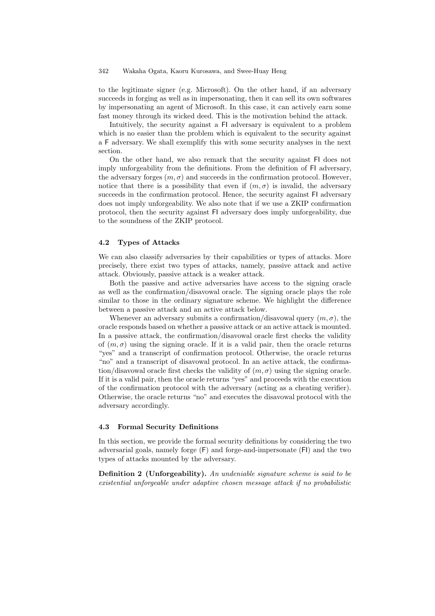to the legitimate signer (e.g. Microsoft). On the other hand, if an adversary succeeds in forging as well as in impersonating, then it can sell its own softwares by impersonating an agent of Microsoft. In this case, it can actively earn some fast money through its wicked deed. This is the motivation behind the attack.

Intuitively, the security against a FI adversary is equivalent to a problem which is no easier than the problem which is equivalent to the security against a F adversary. We shall exemplify this with some security analyses in the next section.

On the other hand, we also remark that the security against FI does not imply unforgeability from the definitions. From the definition of FI adversary, the adversary forges  $(m, \sigma)$  and succeeds in the confirmation protocol. However, notice that there is a possibility that even if  $(m, \sigma)$  is invalid, the adversary succeeds in the confirmation protocol. Hence, the security against FI adversary does not imply unforgeability. We also note that if we use a ZKIP confirmation protocol, then the security against FI adversary does imply unforgeability, due to the soundness of the ZKIP protocol.

### 4.2 Types of Attacks

We can also classify adversaries by their capabilities or types of attacks. More precisely, there exist two types of attacks, namely, passive attack and active attack. Obviously, passive attack is a weaker attack.

Both the passive and active adversaries have access to the signing oracle as well as the confirmation/disavowal oracle. The signing oracle plays the role similar to those in the ordinary signature scheme. We highlight the difference between a passive attack and an active attack below.

Whenever an adversary submits a confirmation/disavowal query  $(m, \sigma)$ , the oracle responds based on whether a passive attack or an active attack is mounted. In a passive attack, the confirmation/disavowal oracle first checks the validity of  $(m, \sigma)$  using the signing oracle. If it is a valid pair, then the oracle returns "yes" and a transcript of confirmation protocol. Otherwise, the oracle returns "no" and a transcript of disavowal protocol. In an active attack, the confirmation/disavowal oracle first checks the validity of  $(m, \sigma)$  using the signing oracle. If it is a valid pair, then the oracle returns "yes" and proceeds with the execution of the confirmation protocol with the adversary (acting as a cheating verifier). Otherwise, the oracle returns "no" and executes the disavowal protocol with the adversary accordingly.

# 4.3 Formal Security Definitions

In this section, we provide the formal security definitions by considering the two adversarial goals, namely forge (F) and forge-and-impersonate (FI) and the two types of attacks mounted by the adversary.

Definition 2 (Unforgeability). An undeniable signature scheme is said to be existential unforgeable under adaptive chosen message attack if no probabilistic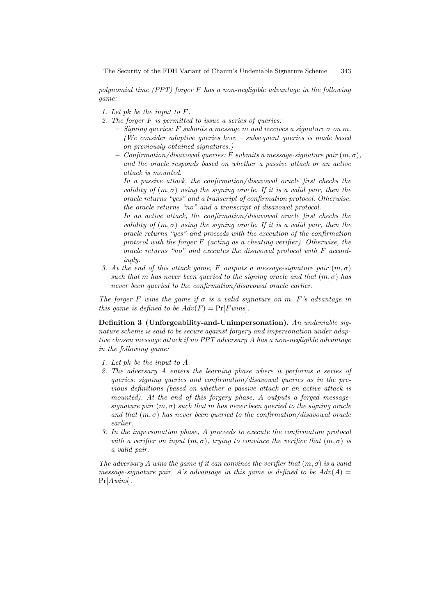polynomial time (PPT) forger F has a non-negligible advantage in the following game:

- 1. Let pk be the input to F.
- 2. The forger F is permitted to issue a series of queries:
	- $-$  Signing queries: F submits a message m and receives a signature  $\sigma$  on m. (We consider adaptive queries here – subsequent queries is made based on previously obtained signatures.)
	- $-$  Confirmation/disavowal queries: F submits a message-signature pair  $(m, \sigma)$ , and the oracle responds based on whether a passive attack or an active attack is mounted.

In a passive attack, the confirmation/disavowal oracle first checks the validity of  $(m, \sigma)$  using the signing oracle. If it is a valid pair, then the oracle returns "yes" and a transcript of confirmation protocol. Otherwise, the oracle returns "no" and a transcript of disavowal protocol.

In an active attack, the confirmation/disavowal oracle first checks the validity of  $(m, \sigma)$  using the signing oracle. If it is a valid pair, then the oracle returns "yes" and proceeds with the execution of the confirmation protocol with the forger  $F$  (acting as a cheating verifier). Otherwise, the oracle returns "no" and executes the disavowal protocol with F accordingly.

3. At the end of this attack game, F outputs a message-signature pair  $(m, \sigma)$ such that m has never been queried to the signing oracle and that  $(m, \sigma)$  has never been queried to the confirmation/disavowal oracle earlier.

The forger F wins the game if  $\sigma$  is a valid signature on m. F's advantage in this game is defined to be  $Adv(F) = Pr[Fwins]$ .

Definition 3 (Unforgeability-and-Unimpersonation). An undeniable signature scheme is said to be secure against forgery and impersonation under adaptive chosen message attack if no PPT adversary A has a non-negligible advantage in the following game:

- 1. Let pk be the input to A.
- 2. The adversary A enters the learning phase where it performs a series of queries: signing queries and confirmation/disavowal queries as in the previous definitions (based on whether a passive attack or an active attack is mounted). At the end of this forgery phase, A outputs a forged messagesignature pair  $(m, \sigma)$  such that m has never been queried to the signing oracle and that  $(m, \sigma)$  has never been queried to the confirmation/disavowal oracle earlier.
- 3. In the impersonation phase, A proceeds to execute the confirmation protocol with a verifier on input  $(m, \sigma)$ , trying to convince the verifier that  $(m, \sigma)$  is a valid pair.

The adversary A wins the game if it can convince the verifier that  $(m, \sigma)$  is a valid message-signature pair. A's advantage in this game is defined to be  $Adv(A) =$ Pr[Awins].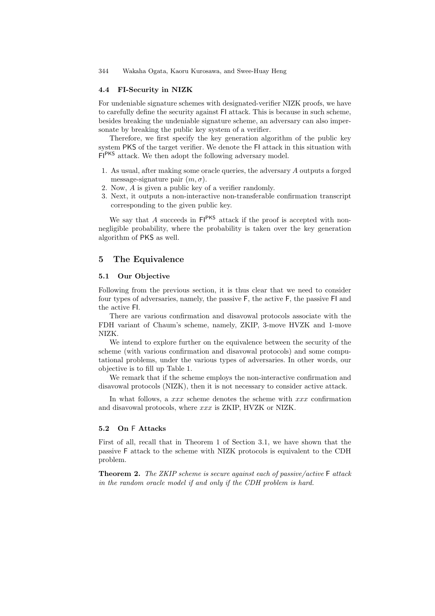#### 4.4 FI-Security in NIZK

For undeniable signature schemes with designated-verifier NIZK proofs, we have to carefully define the security against FI attack. This is because in such scheme, besides breaking the undeniable signature scheme, an adversary can also impersonate by breaking the public key system of a verifier.

Therefore, we first specify the key generation algorithm of the public key system PKS of the target verifier. We denote the FI attack in this situation with FIPKS attack. We then adopt the following adversary model.

- 1. As usual, after making some oracle queries, the adversary A outputs a forged message-signature pair  $(m, \sigma)$ .
- 2. Now, A is given a public key of a verifier randomly.
- 3. Next, it outputs a non-interactive non-transferable confirmation transcript corresponding to the given public key.

We say that A succeeds in  $F1^{PKS}$  attack if the proof is accepted with nonnegligible probability, where the probability is taken over the key generation algorithm of PKS as well.

# 5 The Equivalence

### 5.1 Our Objective

Following from the previous section, it is thus clear that we need to consider four types of adversaries, namely, the passive F, the active F, the passive FI and the active FI.

There are various confirmation and disavowal protocols associate with the FDH variant of Chaum's scheme, namely, ZKIP, 3-move HVZK and 1-move NIZK.

We intend to explore further on the equivalence between the security of the scheme (with various confirmation and disavowal protocols) and some computational problems, under the various types of adversaries. In other words, our objective is to fill up Table 1.

We remark that if the scheme employs the non-interactive confirmation and disavowal protocols (NIZK), then it is not necessary to consider active attack.

In what follows, a  $xxx$  scheme denotes the scheme with  $xxx$  confirmation and disavowal protocols, where xxx is ZKIP, HVZK or NIZK.

### 5.2 On F Attacks

First of all, recall that in Theorem 1 of Section 3.1, we have shown that the passive F attack to the scheme with NIZK protocols is equivalent to the CDH problem.

Theorem 2. The ZKIP scheme is secure against each of passive/active F attack in the random oracle model if and only if the CDH problem is hard.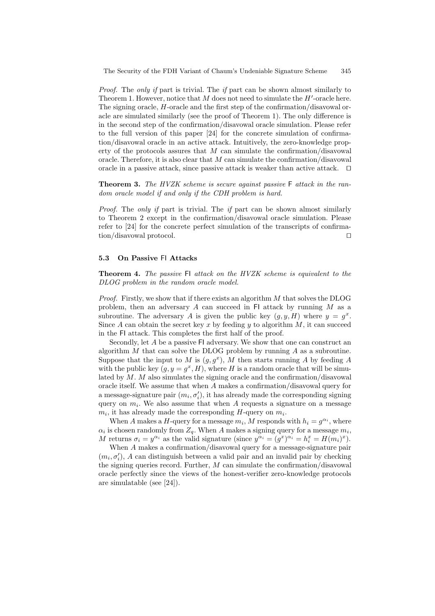Proof. The only if part is trivial. The if part can be shown almost similarly to Theorem 1. However, notice that M does not need to simulate the  $H'$ -oracle here. The signing oracle, H-oracle and the first step of the confirmation/disavowal oracle are simulated similarly (see the proof of Theorem 1). The only difference is in the second step of the confirmation/disavowal oracle simulation. Please refer to the full version of this paper [24] for the concrete simulation of confirmation/disavowal oracle in an active attack. Intuitively, the zero-knowledge property of the protocols assures that  $M$  can simulate the confirmation/disavowal oracle. Therefore, it is also clear that  $M$  can simulate the confirmation/disavowal oracle in a passive attack, since passive attack is weaker than active attack.  $\Box$ 

**Theorem 3.** The HVZK scheme is secure against passive  $\mathsf{F}$  attack in the random oracle model if and only if the CDH problem is hard.

Proof. The only if part is trivial. The if part can be shown almost similarly to Theorem 2 except in the confirmation/disavowal oracle simulation. Please refer to [24] for the concrete perfect simulation of the transcripts of confirma- $\text{tion}/\text{disavoval}$  protocol.

#### 5.3 On Passive FI Attacks

Theorem 4. The passive FI attack on the HVZK scheme is equivalent to the DLOG problem in the random oracle model.

*Proof.* Firstly, we show that if there exists an algorithm  $M$  that solves the DLOG problem, then an adversary A can succeed in  $FI$  attack by running M as a subroutine. The adversary A is given the public key  $(g, y, H)$  where  $y = g^x$ . Since A can obtain the secret key x by feeding y to algorithm M, it can succeed in the FI attack. This completes the first half of the proof.

Secondly, let A be a passive FI adversary. We show that one can construct an algorithm  $M$  that can solve the DLOG problem by running  $\tilde{A}$  as a subroutine. Suppose that the input to M is  $(g, g^x)$ , M then starts running A by feeding A with the public key  $(g, y = g^x, H)$ , where H is a random oracle that will be simulated by  $M$ . M also simulates the signing oracle and the confirmation/disavowal oracle itself. We assume that when A makes a confirmation/disavowal query for a message-signature pair  $(m_i, \sigma'_i)$ , it has already made the corresponding signing query on  $m_i$ . We also assume that when A requests a signature on a message  $m_i$ , it has already made the corresponding H-query on  $m_i$ .

When A makes a H-query for a message  $m_i$ , M responds with  $h_i = g^{\alpha_i}$ , where  $\alpha_i$  is chosen randomly from  $Z_q$ . When A makes a signing query for a message  $m_i$ , M returns  $\sigma_i = y^{\alpha_i}$  as the valid signature (since  $y^{\alpha_i} = (g^x)^{\alpha_i} = h^x_i = H(m_i)^x$ ).

When A makes a confirmation/disavowal query for a message-signature pair  $(m_i, \sigma'_i)$ , A can distinguish between a valid pair and an invalid pair by checking the signing queries record. Further,  $M$  can simulate the confirmation/disavowal oracle perfectly since the views of the honest-verifier zero-knowledge protocols are simulatable (see [24]).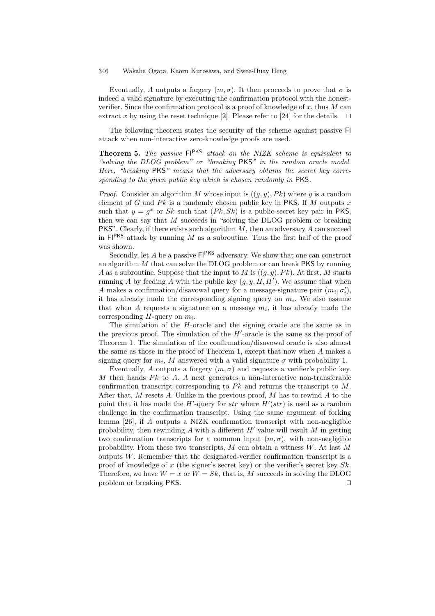Eventually, A outputs a forgery  $(m, \sigma)$ . It then proceeds to prove that  $\sigma$  is indeed a valid signature by executing the confirmation protocol with the honestverifier. Since the confirmation protocol is a proof of knowledge of  $x$ , thus  $M$  can extract x by using the reset technique [2]. Please refer to [24] for the details.  $\square$ 

The following theorem states the security of the scheme against passive FI attack when non-interactive zero-knowledge proofs are used.

Theorem 5. The passive  $F1^{PKS}$  attack on the NIZK scheme is equivalent to "solving the DLOG problem" or "breaking PKS" in the random oracle model. Here, "breaking PKS" means that the adversary obtains the secret key corresponding to the given public key which is chosen randomly in PKS.

*Proof.* Consider an algorithm M whose input is  $((g, y), Pk)$  where y is a random element of G and  $Pk$  is a randomly chosen public key in PKS. If M outputs x such that  $y = g^x$  or Sk such that  $(Pk, Sk)$  is a public-secret key pair in PKS, then we can say that  $M$  succeeds in "solving the DLOG problem or breaking  $PKS$ ". Clearly, if there exists such algorithm  $M$ , then an adversary  $A$  can succeed in  $\text{FI}^{\text{PKS}}$  attack by running M as a subroutine. Thus the first half of the proof was shown.

Secondly, let A be a passive  $\mathsf{FI}^{\mathsf{PKS}}$  adversary. We show that one can construct an algorithm  $M$  that can solve the DLOG problem or can break PKS by running A as a subroutine. Suppose that the input to M is  $((g, y), Pk)$ . At first, M starts running A by feeding A with the public key  $(g, y, H, H')$ . We assume that when A makes a confirmation/disavowal query for a message-signature pair  $(m_i, \sigma'_i)$ , it has already made the corresponding signing query on  $m_i$ . We also assume that when A requests a signature on a message  $m_i$ , it has already made the corresponding  $H$ -query on  $m_i$ .

The simulation of the H-oracle and the signing oracle are the same as in the previous proof. The simulation of the  $H'$ -oracle is the same as the proof of Theorem 1. The simulation of the confirmation/disavowal oracle is also almost the same as those in the proof of Theorem 1, except that now when A makes a signing query for  $m_i$ , M answered with a valid signature  $\sigma$  with probability 1.

Eventually, A outputs a forgery  $(m, \sigma)$  and requests a verifier's public key. M then hands  $Pk$  to  $A$ . A next generates a non-interactive non-transferable confirmation transcript corresponding to  $Pk$  and returns the transcript to  $M$ . After that,  $M$  resets  $A$ . Unlike in the previous proof,  $M$  has to rewind  $A$  to the point that it has made the  $H'$ -query for str where  $H'(str)$  is used as a random challenge in the confirmation transcript. Using the same argument of forking lemma [26], if A outputs a NIZK confirmation transcript with non-negligible probability, then rewinding A with a different  $H'$  value will result M in getting two confirmation transcripts for a common input  $(m, \sigma)$ , with non-negligible probability. From these two transcripts,  $M$  can obtain a witness  $W$ . At last  $M$ outputs  $W$ . Remember that the designated-verifier confirmation transcript is a proof of knowledge of x (the signer's secret key) or the verifier's secret key  $Sk$ . Therefore, we have  $W = x$  or  $W = Sk$ , that is, M succeeds in solving the DLOG problem or breaking PKS.  $\Box$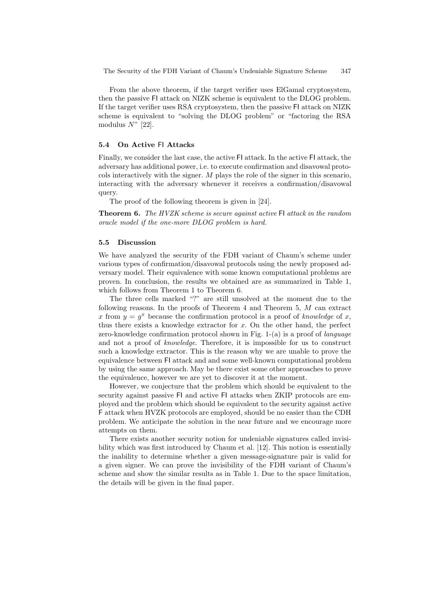From the above theorem, if the target verifier uses ElGamal cryptosystem, then the passive FI attack on NIZK scheme is equivalent to the DLOG problem. If the target verifier uses RSA cryptosystem, then the passive FI attack on NIZK scheme is equivalent to "solving the DLOG problem" or "factoring the RSA modulus  $N$ " [22].

### 5.4 On Active FI Attacks

Finally, we consider the last case, the active FI attack. In the active FI attack, the adversary has additional power, i.e. to execute confirmation and disavowal protocols interactively with the signer. M plays the role of the signer in this scenario, interacting with the adversary whenever it receives a confirmation/disavowal query.

The proof of the following theorem is given in [24].

**Theorem 6.** The HVZK scheme is secure against active  $\mathsf{Fl}$  attack in the random oracle model if the one-more DLOG problem is hard.

### 5.5 Discussion

We have analyzed the security of the FDH variant of Chaum's scheme under various types of confirmation/disavowal protocols using the newly proposed adversary model. Their equivalence with some known computational problems are proven. In conclusion, the results we obtained are as summarized in Table 1, which follows from Theorem 1 to Theorem 6.

The three cells marked "?" are still unsolved at the moment due to the following reasons. In the proofs of Theorem  $4$  and Theorem  $5, M$  can extract x from  $y = g^x$  because the confirmation protocol is a proof of knowledge of x, thus there exists a knowledge extractor for  $x$ . On the other hand, the perfect zero-knowledge confirmation protocol shown in Fig.  $1-(a)$  is a proof of *language* and not a proof of knowledge. Therefore, it is impossible for us to construct such a knowledge extractor. This is the reason why we are unable to prove the equivalence between FI attack and and some well-known computational problem by using the same approach. May be there exist some other approaches to prove the equivalence, however we are yet to discover it at the moment.

However, we conjecture that the problem which should be equivalent to the security against passive FI and active FI attacks when ZKIP protocols are employed and the problem which should be equivalent to the security against active F attack when HVZK protocols are employed, should be no easier than the CDH problem. We anticipate the solution in the near future and we encourage more attempts on them.

There exists another security notion for undeniable signatures called invisibility which was first introduced by Chaum et al. [12]. This notion is essentially the inability to determine whether a given message-signature pair is valid for a given signer. We can prove the invisibility of the FDH variant of Chaum's scheme and show the similar results as in Table 1. Due to the space limitation, the details will be given in the final paper.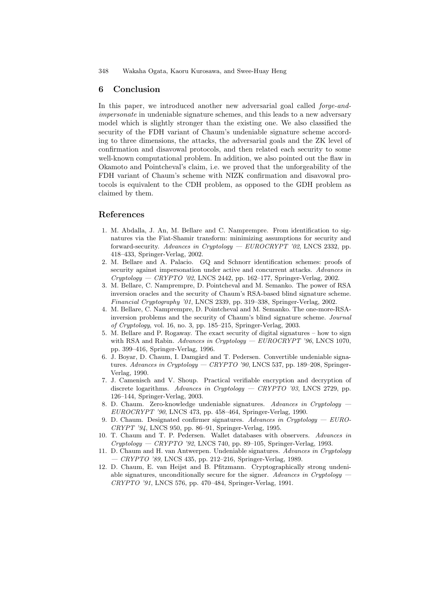## 6 Conclusion

In this paper, we introduced another new adversarial goal called *forge-and*impersonate in undeniable signature schemes, and this leads to a new adversary model which is slightly stronger than the existing one. We also classified the security of the FDH variant of Chaum's undeniable signature scheme according to three dimensions, the attacks, the adversarial goals and the ZK level of confirmation and disavowal protocols, and then related each security to some well-known computational problem. In addition, we also pointed out the flaw in Okamoto and Pointcheval's claim, i.e. we proved that the unforgeability of the FDH variant of Chaum's scheme with NIZK confirmation and disavowal protocols is equivalent to the CDH problem, as opposed to the GDH problem as claimed by them.

# References

- 1. M. Abdalla, J. An, M. Bellare and C. Namprempre. From identification to signatures via the Fiat-Shamir transform: minimizing assumptions for security and forward-security. Advances in Cryptology —  $EUROCRYPT'02$ , LNCS 2332, pp. 418–433, Springer-Verlag, 2002.
- 2. M. Bellare and A. Palacio. GQ and Schnorr identification schemes: proofs of security against impersonation under active and concurrent attacks. Advances in  $Cryptology - CRYPTO'02$ , LNCS 2442, pp. 162–177, Springer-Verlag, 2002.
- 3. M. Bellare, C. Namprempre, D. Pointcheval and M. Semanko. The power of RSA inversion oracles and the security of Chaum's RSA-based blind signature scheme. Financial Cryptography '01, LNCS 2339, pp. 319–338, Springer-Verlag, 2002.
- 4. M. Bellare, C. Namprempre, D. Pointcheval and M. Semanko. The one-more-RSAinversion problems and the security of Chaum's blind signature scheme. Journal of Cryptology, vol. 16, no. 3, pp. 185–215, Springer-Verlag, 2003.
- 5. M. Bellare and P. Rogaway. The exact security of digital signatures how to sign with RSA and Rabin. Advances in Cryptology  $-EUROCRYPT$  '96, LNCS 1070, pp. 399–416, Springer-Verlag, 1996.
- 6. J. Boyar, D. Chaum, I. Damgård and T. Pedersen. Convertible undeniable signatures. Advances in Cryptology — CRYPTO '90, LNCS 537, pp. 189–208, Springer-Verlag, 1990.
- 7. J. Camenisch and V. Shoup. Practical verifiable encryption and decryption of discrete logarithms. Advances in Cryptology — CRYPTO '03, LNCS 2729, pp. 126–144, Springer-Verlag, 2003.
- 8. D. Chaum. Zero-knowledge undeniable signatures. Advances in Cryptology EUROCRYPT '90, LNCS 473, pp. 458–464, Springer-Verlag, 1990.
- 9. D. Chaum. Designated confirmer signatures. Advances in Cryptology  $-$  EURO-CRYPT '94, LNCS 950, pp. 86–91, Springer-Verlag, 1995.
- 10. T. Chaum and T. P. Pedersen. Wallet databases with observers. Advances in  $Cryptology - CRYPTO$  '92, LNCS 740, pp. 89–105, Springer-Verlag, 1993.
- 11. D. Chaum and H. van Antwerpen. Undeniable signatures. Advances in Cryptology — CRYPTO '89, LNCS 435, pp. 212–216, Springer-Verlag, 1989.
- 12. D. Chaum, E. van Heijst and B. Pfitzmann. Cryptographically strong undeniable signatures, unconditionally secure for the signer. Advances in Cryptology CRYPTO '91, LNCS 576, pp. 470–484, Springer-Verlag, 1991.